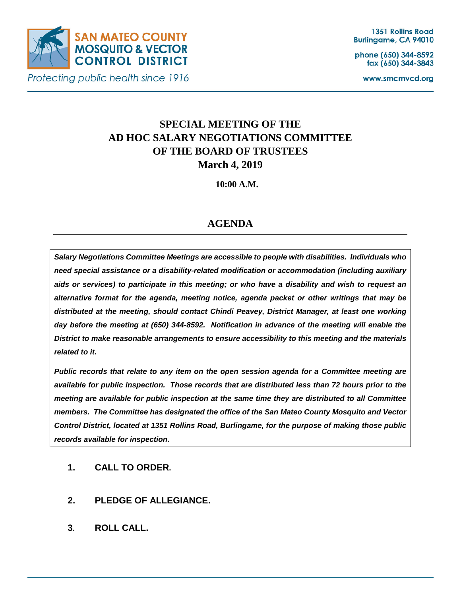

Protecting public health since 1916

phone (650) 344-8592 fax (650) 344-3843

www.smcmvcd.org

# **SPECIAL MEETING OF THE AD HOC SALARY NEGOTIATIONS COMMITTEE OF THE BOARD OF TRUSTEES March 4, 2019**

**10:00 A.M.**

## **AGENDA**

*Salary Negotiations Committee Meetings are accessible to people with disabilities. Individuals who need special assistance or a disability-related modification or accommodation (including auxiliary aids or services) to participate in this meeting; or who have a disability and wish to request an alternative format for the agenda, meeting notice, agenda packet or other writings that may be distributed at the meeting, should contact Chindi Peavey, District Manager, at least one working day before the meeting at (650) 344-8592. Notification in advance of the meeting will enable the District to make reasonable arrangements to ensure accessibility to this meeting and the materials related to it.*

*Public records that relate to any item on the open session agenda for a Committee meeting are available for public inspection. Those records that are distributed less than 72 hours prior to the meeting are available for public inspection at the same time they are distributed to all Committee members. The Committee has designated the office of the San Mateo County Mosquito and Vector Control District, located at 1351 Rollins Road, Burlingame, for the purpose of making those public records available for inspection.*

- **1. CALL TO ORDER.**
- **2. PLEDGE OF ALLEGIANCE.**
- **3. ROLL CALL.**